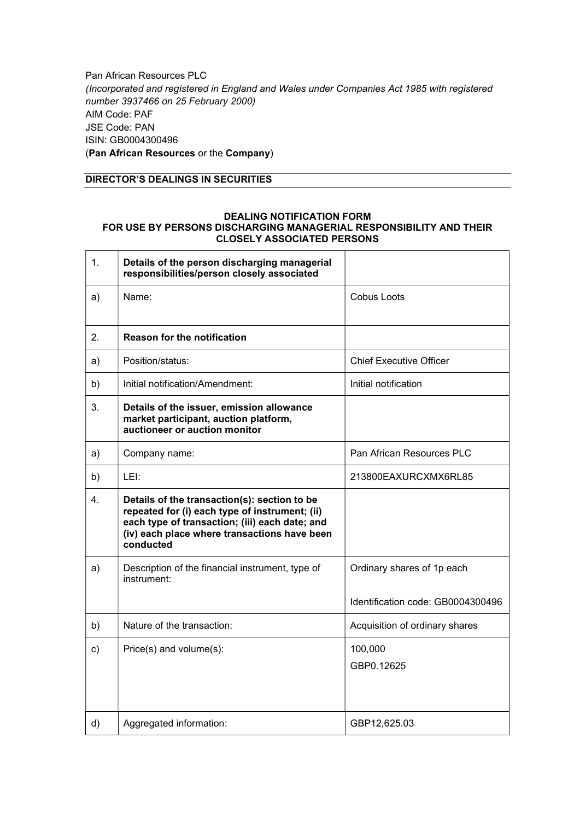Pan African Resources PLC (Incorporated and registered in England and Wales under Companies Act 1985 with registered number 3937466 on 25 February 2000) AIM Code: PAF JSE Code: PAN ISIN: GB0004300496 (Pan African Resources or the Company)

## DIRECTOR'S DEALINGS IN SECURITIES

## DEALING NOTIFICATION FORM FOR USE BY PERSONS DISCHARGING MANAGERIAL RESPONSIBILITY AND THEIR CLOSELY ASSOCIATED PERSONS

| 1.            | Details of the person discharging managerial<br>responsibilities/person closely associated                                                                                                                    |                                   |
|---------------|---------------------------------------------------------------------------------------------------------------------------------------------------------------------------------------------------------------|-----------------------------------|
| a)            | Name:                                                                                                                                                                                                         | Cobus Loots                       |
| 2.            | <b>Reason for the notification</b>                                                                                                                                                                            |                                   |
| a)            | Position/status:                                                                                                                                                                                              | <b>Chief Executive Officer</b>    |
| b)            | Initial notification/Amendment:                                                                                                                                                                               | Initial notification              |
| 3.            | Details of the issuer, emission allowance<br>market participant, auction platform,<br>auctioneer or auction monitor                                                                                           |                                   |
| a)            | Company name:                                                                                                                                                                                                 | Pan African Resources PLC         |
| b)            | LEI:                                                                                                                                                                                                          | 213800EAXURCXMX6RL85              |
| 4.            | Details of the transaction(s): section to be<br>repeated for (i) each type of instrument; (ii)<br>each type of transaction; (iii) each date; and<br>(iv) each place where transactions have been<br>conducted |                                   |
| a)            | Description of the financial instrument, type of<br>instrument:                                                                                                                                               | Ordinary shares of 1p each        |
|               |                                                                                                                                                                                                               | Identification code: GB0004300496 |
| b)            | Nature of the transaction:                                                                                                                                                                                    | Acquisition of ordinary shares    |
| $\mathsf{c})$ | Price(s) and volume(s):                                                                                                                                                                                       | 100,000<br>GBP0.12625             |
| d)            | Aggregated information:                                                                                                                                                                                       | GBP12,625.03                      |